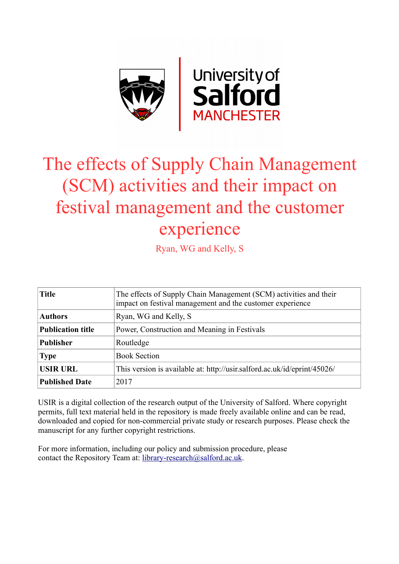

# The effects of Supply Chain Management (SCM) activities and their impact on festival management and the customer experience

Ryan, WG and Kelly, S

| <b>Title</b>             | The effects of Supply Chain Management (SCM) activities and their<br>impact on festival management and the customer experience |
|--------------------------|--------------------------------------------------------------------------------------------------------------------------------|
| <b>Authors</b>           | Ryan, WG and Kelly, S                                                                                                          |
| <b>Publication title</b> | Power, Construction and Meaning in Festivals                                                                                   |
| <b>Publisher</b>         | Routledge                                                                                                                      |
| <b>Type</b>              | <b>Book Section</b>                                                                                                            |
| <b>USIR URL</b>          | This version is available at: http://usir.salford.ac.uk/id/eprint/45026/                                                       |
| <b>Published Date</b>    | 2017                                                                                                                           |

USIR is a digital collection of the research output of the University of Salford. Where copyright permits, full text material held in the repository is made freely available online and can be read, downloaded and copied for non-commercial private study or research purposes. Please check the manuscript for any further copyright restrictions.

For more information, including our policy and submission procedure, please contact the Repository Team at: [library-research@salford.ac.uk.](mailto:library-research@salford.ac.uk)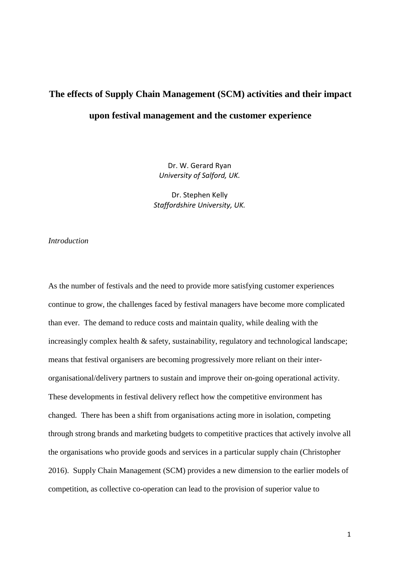# **The effects of Supply Chain Management (SCM) activities and their impact upon festival management and the customer experience**

Dr. W. Gerard Ryan *University of Salford, UK.* 

Dr. Stephen Kelly *Staffordshire University, UK.* 

## *Introduction*

As the number of festivals and the need to provide more satisfying customer experiences continue to grow, the challenges faced by festival managers have become more complicated than ever. The demand to reduce costs and maintain quality, while dealing with the increasingly complex health  $\&$  safety, sustainability, regulatory and technological landscape; means that festival organisers are becoming progressively more reliant on their interorganisational/delivery partners to sustain and improve their on-going operational activity. These developments in festival delivery reflect how the competitive environment has changed. There has been a shift from organisations acting more in isolation, competing through strong brands and marketing budgets to competitive practices that actively involve all the organisations who provide goods and services in a particular supply chain (Christopher 2016). Supply Chain Management (SCM) provides a new dimension to the earlier models of competition, as collective co-operation can lead to the provision of superior value to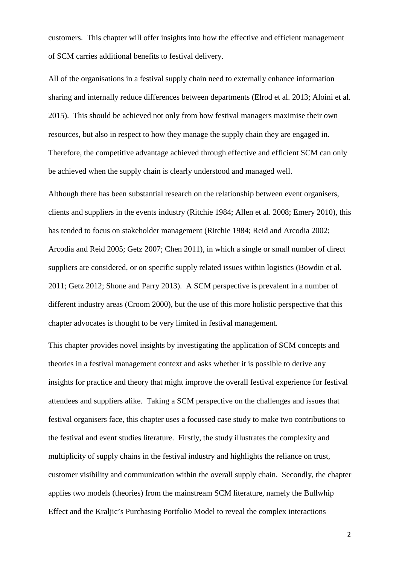customers. This chapter will offer insights into how the effective and efficient management of SCM carries additional benefits to festival delivery.

All of the organisations in a festival supply chain need to externally enhance information sharing and internally reduce differences between departments (Elrod et al. 2013; Aloini et al. 2015). This should be achieved not only from how festival managers maximise their own resources, but also in respect to how they manage the supply chain they are engaged in. Therefore, the competitive advantage achieved through effective and efficient SCM can only be achieved when the supply chain is clearly understood and managed well.

Although there has been substantial research on the relationship between event organisers, clients and suppliers in the events industry (Ritchie 1984; Allen et al. 2008; Emery 2010), this has tended to focus on stakeholder management (Ritchie 1984; Reid and Arcodia 2002; Arcodia and Reid 2005; Getz 2007; Chen 2011), in which a single or small number of direct suppliers are considered, or on specific supply related issues within logistics (Bowdin et al. 2011; Getz 2012; Shone and Parry 2013). A SCM perspective is prevalent in a number of different industry areas (Croom 2000), but the use of this more holistic perspective that this chapter advocates is thought to be very limited in festival management.

This chapter provides novel insights by investigating the application of SCM concepts and theories in a festival management context and asks whether it is possible to derive any insights for practice and theory that might improve the overall festival experience for festival attendees and suppliers alike. Taking a SCM perspective on the challenges and issues that festival organisers face, this chapter uses a focussed case study to make two contributions to the festival and event studies literature. Firstly, the study illustrates the complexity and multiplicity of supply chains in the festival industry and highlights the reliance on trust, customer visibility and communication within the overall supply chain. Secondly, the chapter applies two models (theories) from the mainstream SCM literature, namely the Bullwhip Effect and the Kraljic's Purchasing Portfolio Model to reveal the complex interactions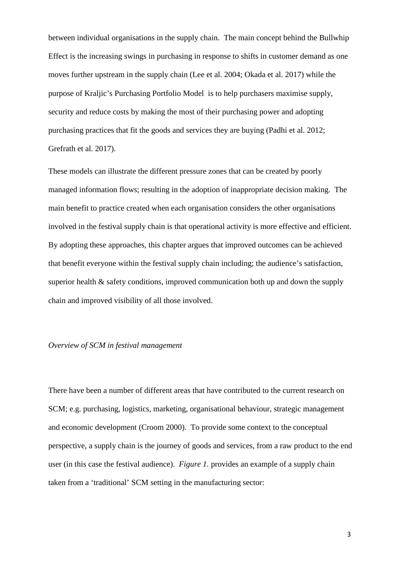between individual organisations in the supply chain. The main concept behind the Bullwhip Effect is the increasing swings in purchasing in response to shifts in customer demand as one moves further upstream in the supply chain (Lee et al. 2004; Okada et al. 2017) while the purpose of Kraljic's Purchasing Portfolio Model is to help purchasers maximise supply, security and reduce costs by making the most of their purchasing power and adopting purchasing practices that fit the goods and services they are buying (Padhi et al. 2012; Grefrath et al. 2017).

These models can illustrate the different pressure zones that can be created by poorly managed information flows; resulting in the adoption of inappropriate decision making. The main benefit to practice created when each organisation considers the other organisations involved in the festival supply chain is that operational activity is more effective and efficient. By adopting these approaches, this chapter argues that improved outcomes can be achieved that benefit everyone within the festival supply chain including; the audience's satisfaction, superior health & safety conditions, improved communication both up and down the supply chain and improved visibility of all those involved.

### *Overview of SCM in festival management*

There have been a number of different areas that have contributed to the current research on SCM; e.g. purchasing, logistics, marketing, organisational behaviour, strategic management and economic development (Croom 2000). To provide some context to the conceptual perspective, a supply chain is the journey of goods and services, from a raw product to the end user (in this case the festival audience). *Figure 1.* provides an example of a supply chain taken from a 'traditional' SCM setting in the manufacturing sector: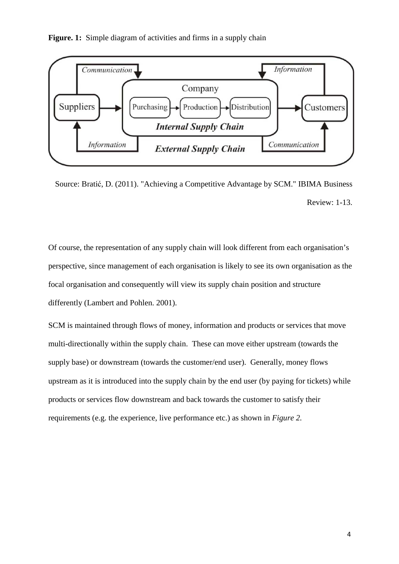Figure. 1: Simple diagram of activities and firms in a supply chain



Source: Bratić, D. (2011). "Achieving a Competitive Advantage by SCM." IBIMA Business Review: 1-13.

Of course, the representation of any supply chain will look different from each organisation's perspective, since management of each organisation is likely to see its own organisation as the focal organisation and consequently will view its supply chain position and structure differently (Lambert and Pohlen. 2001).

SCM is maintained through flows of money, information and products or services that move multi-directionally within the supply chain. These can move either upstream (towards the supply base) or downstream (towards the customer/end user). Generally, money flows upstream as it is introduced into the supply chain by the end user (by paying for tickets) while products or services flow downstream and back towards the customer to satisfy their requirements (e.g. the experience, live performance etc.) as shown in *Figure 2.*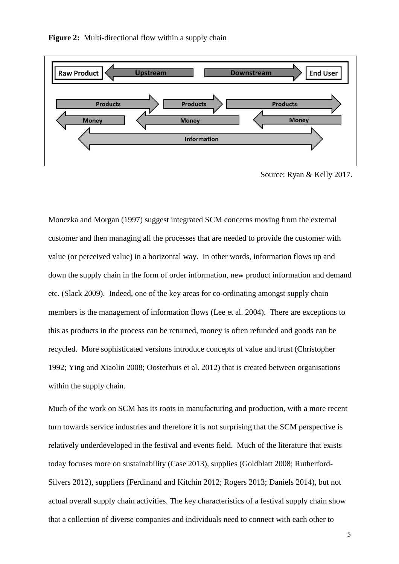**Figure 2:** Multi-directional flow within a supply chain



Source: Ryan & Kelly 2017.

Monczka and Morgan (1997) suggest integrated SCM concerns moving from the external customer and then managing all the processes that are needed to provide the customer with value (or perceived value) in a horizontal way. In other words, information flows up and down the supply chain in the form of order information, new product information and demand etc. (Slack 2009). Indeed, one of the key areas for co-ordinating amongst supply chain members is the management of information flows (Lee et al. 2004). There are exceptions to this as products in the process can be returned, money is often refunded and goods can be recycled. More sophisticated versions introduce concepts of value and trust (Christopher 1992; Ying and Xiaolin 2008; Oosterhuis et al. 2012) that is created between organisations within the supply chain.

Much of the work on SCM has its roots in manufacturing and production, with a more recent turn towards service industries and therefore it is not surprising that the SCM perspective is relatively underdeveloped in the festival and events field. Much of the literature that exists today focuses more on sustainability (Case 2013), supplies (Goldblatt 2008; Rutherford-Silvers 2012), suppliers (Ferdinand and Kitchin 2012; Rogers 2013; Daniels 2014), but not actual overall supply chain activities. The key characteristics of a festival supply chain show that a collection of diverse companies and individuals need to connect with each other to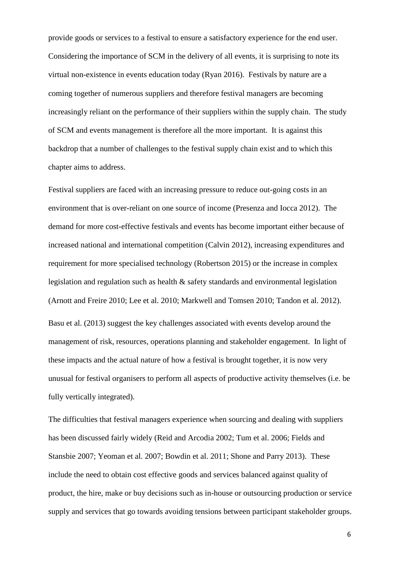provide goods or services to a festival to ensure a satisfactory experience for the end user. Considering the importance of SCM in the delivery of all events, it is surprising to note its virtual non-existence in events education today (Ryan 2016). Festivals by nature are a coming together of numerous suppliers and therefore festival managers are becoming increasingly reliant on the performance of their suppliers within the supply chain. The study of SCM and events management is therefore all the more important. It is against this backdrop that a number of challenges to the festival supply chain exist and to which this chapter aims to address.

Festival suppliers are faced with an increasing pressure to reduce out-going costs in an environment that is over-reliant on one source of income (Presenza and Iocca 2012). The demand for more cost-effective festivals and events has become important either because of increased national and international competition (Calvin 2012), increasing expenditures and requirement for more specialised technology (Robertson 2015) or the increase in complex legislation and regulation such as health & safety standards and environmental legislation (Arnott and Freire 2010; Lee et al. 2010; Markwell and Tomsen 2010; Tandon et al. 2012). Basu et al. (2013) suggest the key challenges associated with events develop around the management of risk, resources, operations planning and stakeholder engagement. In light of these impacts and the actual nature of how a festival is brought together, it is now very unusual for festival organisers to perform all aspects of productive activity themselves (i.e. be fully vertically integrated).

The difficulties that festival managers experience when sourcing and dealing with suppliers has been discussed fairly widely (Reid and Arcodia 2002; Tum et al. 2006; Fields and Stansbie 2007; Yeoman et al. 2007; Bowdin et al. 2011; Shone and Parry 2013). These include the need to obtain cost effective goods and services balanced against quality of product, the hire, make or buy decisions such as in-house or outsourcing production or service supply and services that go towards avoiding tensions between participant stakeholder groups.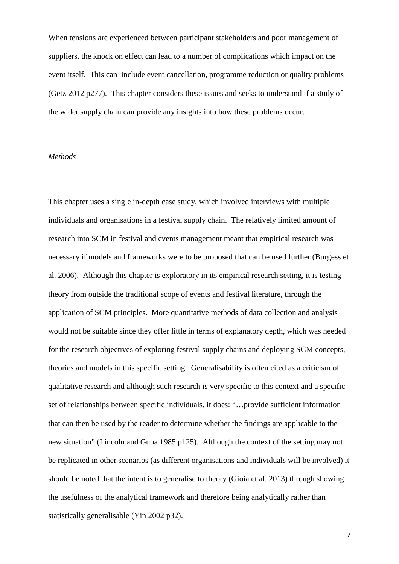When tensions are experienced between participant stakeholders and poor management of suppliers, the knock on effect can lead to a number of complications which impact on the event itself. This can include event cancellation, programme reduction or quality problems (Getz 2012 p277). This chapter considers these issues and seeks to understand if a study of the wider supply chain can provide any insights into how these problems occur.

#### *Methods*

This chapter uses a single in-depth case study, which involved interviews with multiple individuals and organisations in a festival supply chain. The relatively limited amount of research into SCM in festival and events management meant that empirical research was necessary if models and frameworks were to be proposed that can be used further (Burgess et al. 2006). Although this chapter is exploratory in its empirical research setting, it is testing theory from outside the traditional scope of events and festival literature, through the application of SCM principles. More quantitative methods of data collection and analysis would not be suitable since they offer little in terms of explanatory depth, which was needed for the research objectives of exploring festival supply chains and deploying SCM concepts, theories and models in this specific setting. Generalisability is often cited as a criticism of qualitative research and although such research is very specific to this context and a specific set of relationships between specific individuals, it does: "…provide sufficient information that can then be used by the reader to determine whether the findings are applicable to the new situation" (Lincoln and Guba 1985 p125). Although the context of the setting may not be replicated in other scenarios (as different organisations and individuals will be involved) it should be noted that the intent is to generalise to theory (Gioia et al. 2013) through showing the usefulness of the analytical framework and therefore being analytically rather than statistically generalisable (Yin 2002 p32).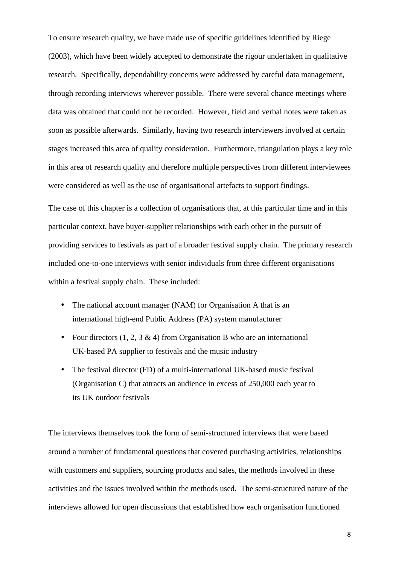To ensure research quality, we have made use of specific guidelines identified by Riege (2003), which have been widely accepted to demonstrate the rigour undertaken in qualitative research. Specifically, dependability concerns were addressed by careful data management, through recording interviews wherever possible. There were several chance meetings where data was obtained that could not be recorded. However, field and verbal notes were taken as soon as possible afterwards. Similarly, having two research interviewers involved at certain stages increased this area of quality consideration. Furthermore, triangulation plays a key role in this area of research quality and therefore multiple perspectives from different interviewees were considered as well as the use of organisational artefacts to support findings.

The case of this chapter is a collection of organisations that, at this particular time and in this particular context, have buyer-supplier relationships with each other in the pursuit of providing services to festivals as part of a broader festival supply chain. The primary research included one-to-one interviews with senior individuals from three different organisations within a festival supply chain. These included:

- The national account manager (NAM) for Organisation A that is an international high-end Public Address (PA) system manufacturer
- Four directors  $(1, 2, 3 \& 4)$  from Organisation B who are an international UK-based PA supplier to festivals and the music industry
- The festival director (FD) of a multi-international UK-based music festival (Organisation C) that attracts an audience in excess of 250,000 each year to its UK outdoor festivals

The interviews themselves took the form of semi-structured interviews that were based around a number of fundamental questions that covered purchasing activities, relationships with customers and suppliers, sourcing products and sales, the methods involved in these activities and the issues involved within the methods used. The semi-structured nature of the interviews allowed for open discussions that established how each organisation functioned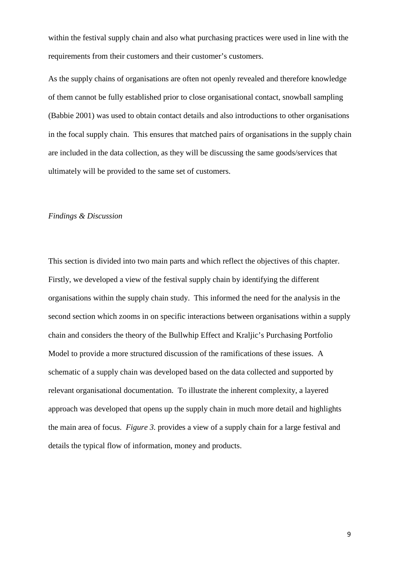within the festival supply chain and also what purchasing practices were used in line with the requirements from their customers and their customer's customers.

As the supply chains of organisations are often not openly revealed and therefore knowledge of them cannot be fully established prior to close organisational contact, snowball sampling (Babbie 2001) was used to obtain contact details and also introductions to other organisations in the focal supply chain. This ensures that matched pairs of organisations in the supply chain are included in the data collection, as they will be discussing the same goods/services that ultimately will be provided to the same set of customers.

#### *Findings & Discussion*

This section is divided into two main parts and which reflect the objectives of this chapter. Firstly, we developed a view of the festival supply chain by identifying the different organisations within the supply chain study. This informed the need for the analysis in the second section which zooms in on specific interactions between organisations within a supply chain and considers the theory of the Bullwhip Effect and Kraljic's Purchasing Portfolio Model to provide a more structured discussion of the ramifications of these issues. A schematic of a supply chain was developed based on the data collected and supported by relevant organisational documentation. To illustrate the inherent complexity, a layered approach was developed that opens up the supply chain in much more detail and highlights the main area of focus. *Figure 3.* provides a view of a supply chain for a large festival and details the typical flow of information, money and products.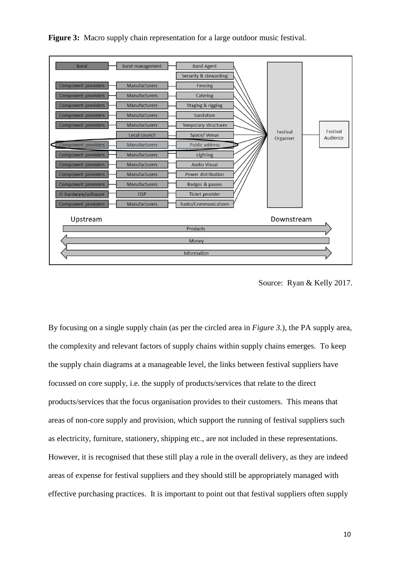

**Figure 3:** Macro supply chain representation for a large outdoor music festival.

By focusing on a single supply chain (as per the circled area in *Figure 3.*), the PA supply area, the complexity and relevant factors of supply chains within supply chains emerges. To keep the supply chain diagrams at a manageable level, the links between festival suppliers have focussed on core supply, i.e. the supply of products/services that relate to the direct products/services that the focus organisation provides to their customers. This means that areas of non-core supply and provision, which support the running of festival suppliers such as electricity, furniture, stationery, shipping etc., are not included in these representations. However, it is recognised that these still play a role in the overall delivery, as they are indeed areas of expense for festival suppliers and they should still be appropriately managed with effective purchasing practices. It is important to point out that festival suppliers often supply

Source: Ryan & Kelly 2017.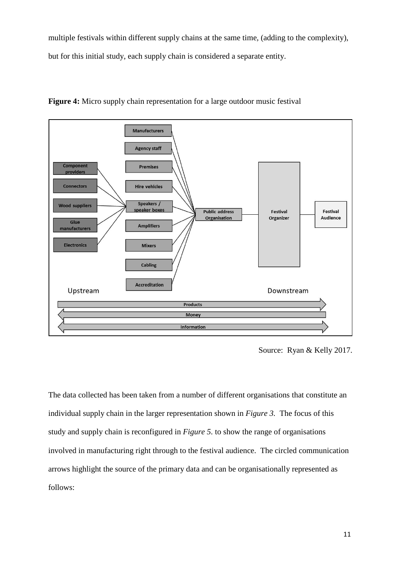multiple festivals within different supply chains at the same time, (adding to the complexity), but for this initial study, each supply chain is considered a separate entity.



**Figure 4:** Micro supply chain representation for a large outdoor music festival

Source: Ryan & Kelly 2017.

The data collected has been taken from a number of different organisations that constitute an individual supply chain in the larger representation shown in *Figure 3.* The focus of this study and supply chain is reconfigured in *Figure 5.* to show the range of organisations involved in manufacturing right through to the festival audience. The circled communication arrows highlight the source of the primary data and can be organisationally represented as follows: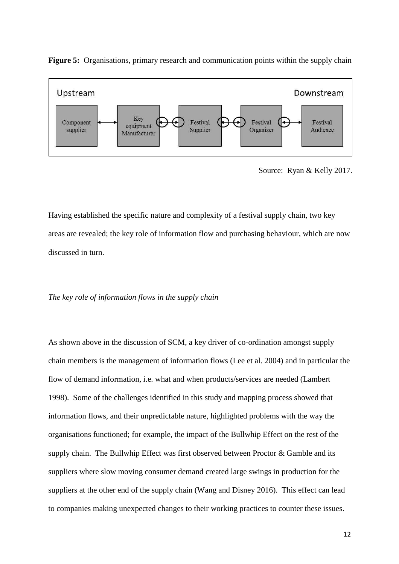

**Figure 5:** Organisations, primary research and communication points within the supply chain

Having established the specific nature and complexity of a festival supply chain, two key areas are revealed; the key role of information flow and purchasing behaviour, which are now discussed in turn.

#### *The key role of information flows in the supply chain*

As shown above in the discussion of SCM, a key driver of co-ordination amongst supply chain members is the management of information flows (Lee et al. 2004) and in particular the flow of demand information, i.e. what and when products/services are needed (Lambert 1998). Some of the challenges identified in this study and mapping process showed that information flows, and their unpredictable nature, highlighted problems with the way the organisations functioned; for example, the impact of the Bullwhip Effect on the rest of the supply chain. The Bullwhip Effect was first observed between Proctor & Gamble and its suppliers where slow moving consumer demand created large swings in production for the suppliers at the other end of the supply chain (Wang and Disney 2016). This effect can lead to companies making unexpected changes to their working practices to counter these issues.

Source: Ryan & Kelly 2017.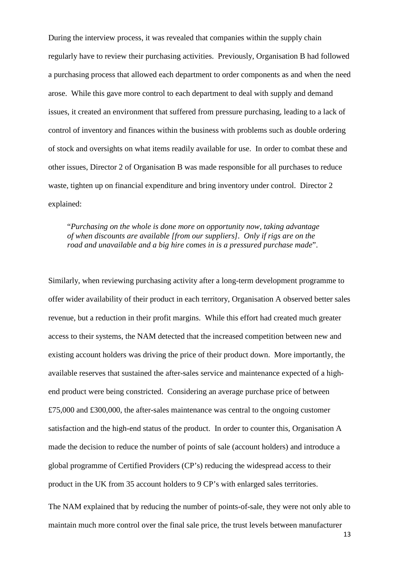During the interview process, it was revealed that companies within the supply chain regularly have to review their purchasing activities. Previously, Organisation B had followed a purchasing process that allowed each department to order components as and when the need arose. While this gave more control to each department to deal with supply and demand issues, it created an environment that suffered from pressure purchasing, leading to a lack of control of inventory and finances within the business with problems such as double ordering of stock and oversights on what items readily available for use. In order to combat these and other issues, Director 2 of Organisation B was made responsible for all purchases to reduce waste, tighten up on financial expenditure and bring inventory under control. Director 2 explained:

"*Purchasing on the whole is done more on opportunity now, taking advantage of when discounts are available [from our suppliers]. Only if rigs are on the road and unavailable and a big hire comes in is a pressured purchase made*".

Similarly, when reviewing purchasing activity after a long-term development programme to offer wider availability of their product in each territory, Organisation A observed better sales revenue, but a reduction in their profit margins. While this effort had created much greater access to their systems, the NAM detected that the increased competition between new and existing account holders was driving the price of their product down. More importantly, the available reserves that sustained the after-sales service and maintenance expected of a highend product were being constricted. Considering an average purchase price of between £75,000 and £300,000, the after-sales maintenance was central to the ongoing customer satisfaction and the high-end status of the product. In order to counter this, Organisation A made the decision to reduce the number of points of sale (account holders) and introduce a global programme of Certified Providers (CP's) reducing the widespread access to their product in the UK from 35 account holders to 9 CP's with enlarged sales territories.

The NAM explained that by reducing the number of points-of-sale, they were not only able to maintain much more control over the final sale price, the trust levels between manufacturer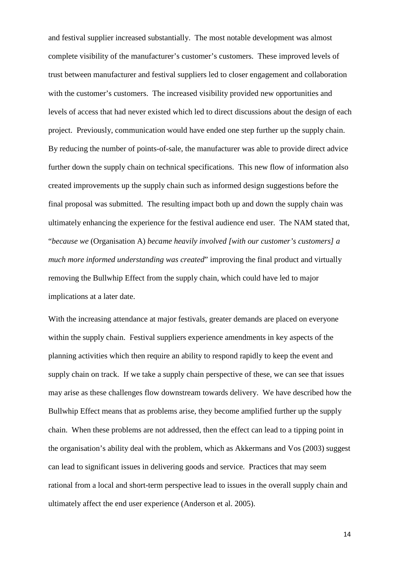and festival supplier increased substantially. The most notable development was almost complete visibility of the manufacturer's customer's customers. These improved levels of trust between manufacturer and festival suppliers led to closer engagement and collaboration with the customer's customers. The increased visibility provided new opportunities and levels of access that had never existed which led to direct discussions about the design of each project. Previously, communication would have ended one step further up the supply chain. By reducing the number of points-of-sale, the manufacturer was able to provide direct advice further down the supply chain on technical specifications. This new flow of information also created improvements up the supply chain such as informed design suggestions before the final proposal was submitted. The resulting impact both up and down the supply chain was ultimately enhancing the experience for the festival audience end user. The NAM stated that, "*because we* (Organisation A) *became heavily involved [with our customer's customers] a much more informed understanding was created*" improving the final product and virtually removing the Bullwhip Effect from the supply chain, which could have led to major implications at a later date.

With the increasing attendance at major festivals, greater demands are placed on everyone within the supply chain. Festival suppliers experience amendments in key aspects of the planning activities which then require an ability to respond rapidly to keep the event and supply chain on track. If we take a supply chain perspective of these, we can see that issues may arise as these challenges flow downstream towards delivery. We have described how the Bullwhip Effect means that as problems arise, they become amplified further up the supply chain. When these problems are not addressed, then the effect can lead to a tipping point in the organisation's ability deal with the problem, which as Akkermans and Vos (2003) suggest can lead to significant issues in delivering goods and service. Practices that may seem rational from a local and short-term perspective lead to issues in the overall supply chain and ultimately affect the end user experience (Anderson et al. 2005).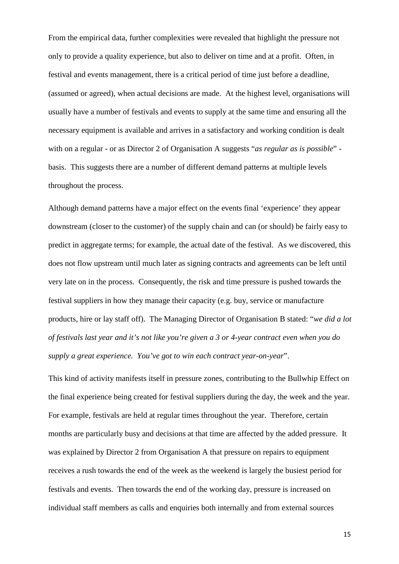From the empirical data, further complexities were revealed that highlight the pressure not only to provide a quality experience, but also to deliver on time and at a profit. Often, in festival and events management, there is a critical period of time just before a deadline, (assumed or agreed), when actual decisions are made. At the highest level, organisations will usually have a number of festivals and events to supply at the same time and ensuring all the necessary equipment is available and arrives in a satisfactory and working condition is dealt with on a regular - or as Director 2 of Organisation A suggests "*as regular as is possible*" basis. This suggests there are a number of different demand patterns at multiple levels throughout the process.

Although demand patterns have a major effect on the events final 'experience' they appear downstream (closer to the customer) of the supply chain and can (or should) be fairly easy to predict in aggregate terms; for example, the actual date of the festival. As we discovered, this does not flow upstream until much later as signing contracts and agreements can be left until very late on in the process. Consequently, the risk and time pressure is pushed towards the festival suppliers in how they manage their capacity (e.g. buy, service or manufacture products, hire or lay staff off). The Managing Director of Organisation B stated: "*we did a lot of festivals last year and it's not like you're given a 3 or 4-year contract even when you do supply a great experience. You've got to win each contract year-on-year*".

This kind of activity manifests itself in pressure zones, contributing to the Bullwhip Effect on the final experience being created for festival suppliers during the day, the week and the year. For example, festivals are held at regular times throughout the year. Therefore, certain months are particularly busy and decisions at that time are affected by the added pressure. It was explained by Director 2 from Organisation A that pressure on repairs to equipment receives a rush towards the end of the week as the weekend is largely the busiest period for festivals and events. Then towards the end of the working day, pressure is increased on individual staff members as calls and enquiries both internally and from external sources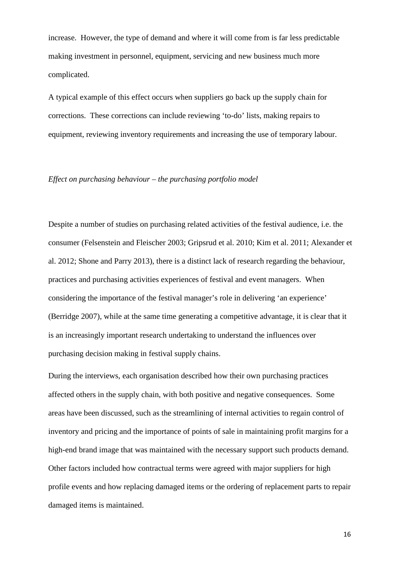increase. However, the type of demand and where it will come from is far less predictable making investment in personnel, equipment, servicing and new business much more complicated.

A typical example of this effect occurs when suppliers go back up the supply chain for corrections. These corrections can include reviewing 'to-do' lists, making repairs to equipment, reviewing inventory requirements and increasing the use of temporary labour.

#### *Effect on purchasing behaviour – the purchasing portfolio model*

Despite a number of studies on purchasing related activities of the festival audience, i.e. the consumer (Felsenstein and Fleischer 2003; Gripsrud et al. 2010; Kim et al. 2011; Alexander et al. 2012; Shone and Parry 2013), there is a distinct lack of research regarding the behaviour, practices and purchasing activities experiences of festival and event managers. When considering the importance of the festival manager's role in delivering 'an experience' (Berridge 2007), while at the same time generating a competitive advantage, it is clear that it is an increasingly important research undertaking to understand the influences over purchasing decision making in festival supply chains.

During the interviews, each organisation described how their own purchasing practices affected others in the supply chain, with both positive and negative consequences. Some areas have been discussed, such as the streamlining of internal activities to regain control of inventory and pricing and the importance of points of sale in maintaining profit margins for a high-end brand image that was maintained with the necessary support such products demand. Other factors included how contractual terms were agreed with major suppliers for high profile events and how replacing damaged items or the ordering of replacement parts to repair damaged items is maintained.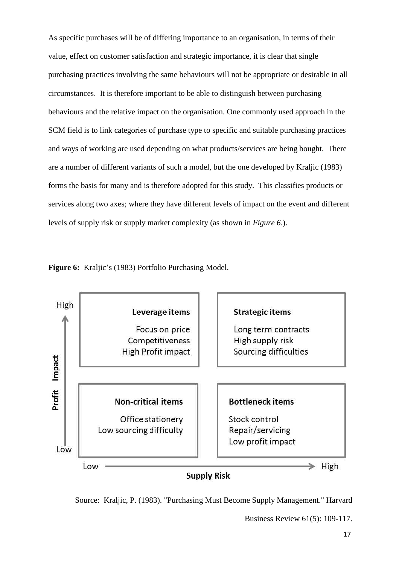As specific purchases will be of differing importance to an organisation, in terms of their value, effect on customer satisfaction and strategic importance, it is clear that single purchasing practices involving the same behaviours will not be appropriate or desirable in all circumstances. It is therefore important to be able to distinguish between purchasing behaviours and the relative impact on the organisation. One commonly used approach in the SCM field is to link categories of purchase type to specific and suitable purchasing practices and ways of working are used depending on what products/services are being bought. There are a number of different variants of such a model, but the one developed by Kraljic (1983) forms the basis for many and is therefore adopted for this study. This classifies products or services along two axes; where they have different levels of impact on the event and different levels of supply risk or supply market complexity (as shown in *Figure 6*.).





Source: Kraljic, P. (1983). "Purchasing Must Become Supply Management." Harvard

Business Review 61(5): 109-117.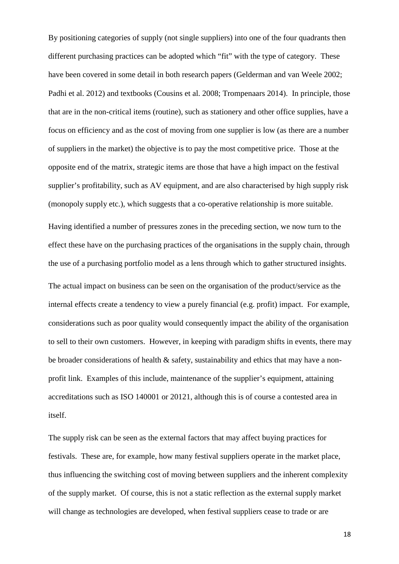By positioning categories of supply (not single suppliers) into one of the four quadrants then different purchasing practices can be adopted which "fit" with the type of category. These have been covered in some detail in both research papers (Gelderman and van Weele 2002; Padhi et al. 2012) and textbooks (Cousins et al. 2008; Trompenaars 2014). In principle, those that are in the non-critical items (routine), such as stationery and other office supplies, have a focus on efficiency and as the cost of moving from one supplier is low (as there are a number of suppliers in the market) the objective is to pay the most competitive price. Those at the opposite end of the matrix, strategic items are those that have a high impact on the festival supplier's profitability, such as AV equipment, and are also characterised by high supply risk (monopoly supply etc.), which suggests that a co-operative relationship is more suitable. Having identified a number of pressures zones in the preceding section, we now turn to the effect these have on the purchasing practices of the organisations in the supply chain, through the use of a purchasing portfolio model as a lens through which to gather structured insights. The actual impact on business can be seen on the organisation of the product/service as the internal effects create a tendency to view a purely financial (e.g. profit) impact. For example, considerations such as poor quality would consequently impact the ability of the organisation to sell to their own customers. However, in keeping with paradigm shifts in events, there may be broader considerations of health & safety, sustainability and ethics that may have a nonprofit link. Examples of this include, maintenance of the supplier's equipment, attaining accreditations such as ISO 140001 or 20121, although this is of course a contested area in itself.

The supply risk can be seen as the external factors that may affect buying practices for festivals. These are, for example, how many festival suppliers operate in the market place, thus influencing the switching cost of moving between suppliers and the inherent complexity of the supply market. Of course, this is not a static reflection as the external supply market will change as technologies are developed, when festival suppliers cease to trade or are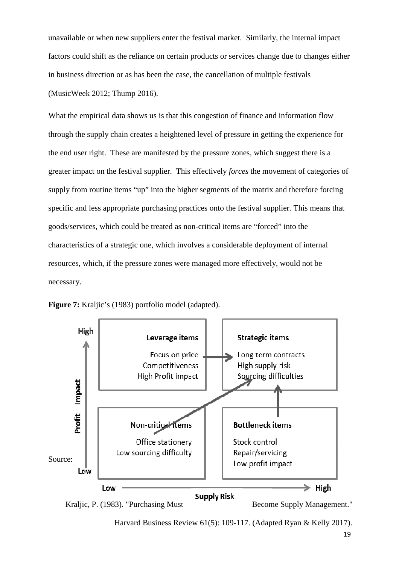unavailable or when new suppliers enter the festival market. Similarly, the internal impact factors could shift as the reliance on certain products or services change due to changes either in business direction or as has been the case, the cancellation of multiple festivals (MusicWeek 2012; Thump 2016).

What the empirical data shows us is that this congestion of finance and information flow through the supply chain creates a heightened level of pressure in getting the experience for the end user right. These are manifested by the pressure zones, which suggest there is a greater impact on the festival supplier. This effectively *forces* the movement of categories of supply from routine items "up" into the higher segments of the matrix and therefore forcing specific and less appropriate purchasing practices onto the festival supplier. This means that goods/services, which could be treated as non-critical items are "forced" into the characteristics of a strategic one, which involves a considerable deployment of internal resources, which, if the pressure zones were managed more effectively, would not be necessary.



**Figure 7:** Kraljic's (1983) portfolio model (adapted).



Harvard Business Review 61(5): 109-117. (Adapted Ryan & Kelly 2017).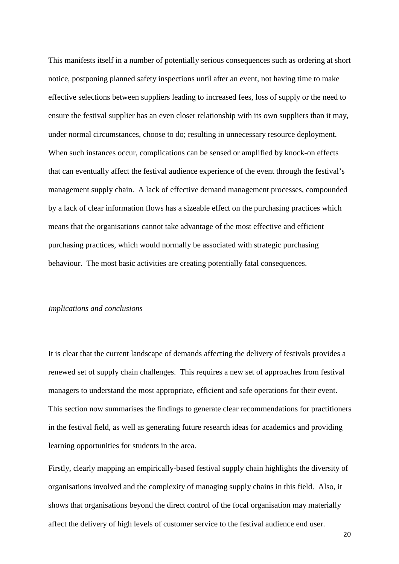This manifests itself in a number of potentially serious consequences such as ordering at short notice, postponing planned safety inspections until after an event, not having time to make effective selections between suppliers leading to increased fees, loss of supply or the need to ensure the festival supplier has an even closer relationship with its own suppliers than it may, under normal circumstances, choose to do; resulting in unnecessary resource deployment. When such instances occur, complications can be sensed or amplified by knock-on effects that can eventually affect the festival audience experience of the event through the festival's management supply chain. A lack of effective demand management processes, compounded by a lack of clear information flows has a sizeable effect on the purchasing practices which means that the organisations cannot take advantage of the most effective and efficient purchasing practices, which would normally be associated with strategic purchasing behaviour. The most basic activities are creating potentially fatal consequences.

#### *Implications and conclusions*

It is clear that the current landscape of demands affecting the delivery of festivals provides a renewed set of supply chain challenges. This requires a new set of approaches from festival managers to understand the most appropriate, efficient and safe operations for their event. This section now summarises the findings to generate clear recommendations for practitioners in the festival field, as well as generating future research ideas for academics and providing learning opportunities for students in the area.

Firstly, clearly mapping an empirically-based festival supply chain highlights the diversity of organisations involved and the complexity of managing supply chains in this field. Also, it shows that organisations beyond the direct control of the focal organisation may materially affect the delivery of high levels of customer service to the festival audience end user.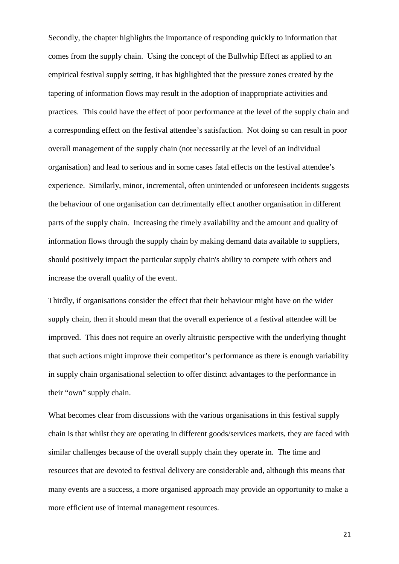Secondly, the chapter highlights the importance of responding quickly to information that comes from the supply chain. Using the concept of the Bullwhip Effect as applied to an empirical festival supply setting, it has highlighted that the pressure zones created by the tapering of information flows may result in the adoption of inappropriate activities and practices. This could have the effect of poor performance at the level of the supply chain and a corresponding effect on the festival attendee's satisfaction. Not doing so can result in poor overall management of the supply chain (not necessarily at the level of an individual organisation) and lead to serious and in some cases fatal effects on the festival attendee's experience. Similarly, minor, incremental, often unintended or unforeseen incidents suggests the behaviour of one organisation can detrimentally effect another organisation in different parts of the supply chain. Increasing the timely availability and the amount and quality of information flows through the supply chain by making demand data available to suppliers, should positively impact the particular supply chain's ability to compete with others and increase the overall quality of the event.

Thirdly, if organisations consider the effect that their behaviour might have on the wider supply chain, then it should mean that the overall experience of a festival attendee will be improved. This does not require an overly altruistic perspective with the underlying thought that such actions might improve their competitor's performance as there is enough variability in supply chain organisational selection to offer distinct advantages to the performance in their "own" supply chain.

What becomes clear from discussions with the various organisations in this festival supply chain is that whilst they are operating in different goods/services markets, they are faced with similar challenges because of the overall supply chain they operate in. The time and resources that are devoted to festival delivery are considerable and, although this means that many events are a success, a more organised approach may provide an opportunity to make a more efficient use of internal management resources.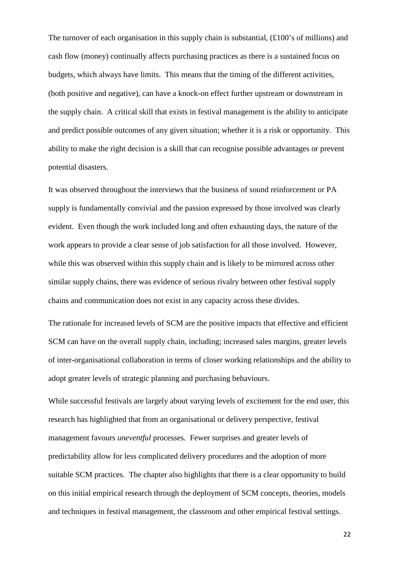The turnover of each organisation in this supply chain is substantial, (£100's of millions) and cash flow (money) continually affects purchasing practices as there is a sustained focus on budgets, which always have limits. This means that the timing of the different activities, (both positive and negative), can have a knock-on effect further upstream or downstream in the supply chain. A critical skill that exists in festival management is the ability to anticipate and predict possible outcomes of any given situation; whether it is a risk or opportunity. This ability to make the right decision is a skill that can recognise possible advantages or prevent potential disasters.

It was observed throughout the interviews that the business of sound reinforcement or PA supply is fundamentally convivial and the passion expressed by those involved was clearly evident. Even though the work included long and often exhausting days, the nature of the work appears to provide a clear sense of job satisfaction for all those involved. However, while this was observed within this supply chain and is likely to be mirrored across other similar supply chains, there was evidence of serious rivalry between other festival supply chains and communication does not exist in any capacity across these divides.

The rationale for increased levels of SCM are the positive impacts that effective and efficient SCM can have on the overall supply chain, including; increased sales margins, greater levels of inter-organisational collaboration in terms of closer working relationships and the ability to adopt greater levels of strategic planning and purchasing behaviours.

While successful festivals are largely about varying levels of excitement for the end user, this research has highlighted that from an organisational or delivery perspective, festival management favours *uneventful* processes. Fewer surprises and greater levels of predictability allow for less complicated delivery procedures and the adoption of more suitable SCM practices. The chapter also highlights that there is a clear opportunity to build on this initial empirical research through the deployment of SCM concepts, theories, models and techniques in festival management, the classroom and other empirical festival settings.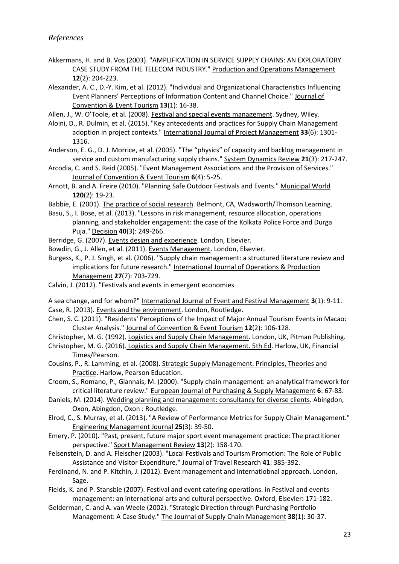- Akkermans, H. and B. Vos (2003). "AMPLIFICATION IN SERVICE SUPPLY CHAINS: AN EXPLORATORY CASE STUDY FROM THE TELECOM INDUSTRY." Production and Operations Management **12**(2): 204-223.
- Alexander, A. C., D.-Y. Kim, et al. (2012). "Individual and Organizational Characteristics Influencing Event Planners' Perceptions of Information Content and Channel Choice." Journal of Convention & Event Tourism **13**(1): 16-38.
- Allen, J., W. O'Toole, et al. (2008). Festival and special events management. Sydney, Wiley.
- Aloini, D., R. Dulmin, et al. (2015). "Key antecedents and practices for Supply Chain Management adoption in project contexts." International Journal of Project Management **33**(6): 1301- 1316.
- Anderson, E. G., D. J. Morrice, et al. (2005). "The "physics" of capacity and backlog management in service and custom manufacturing supply chains." System Dynamics Review **21**(3): 217-247.
- Arcodia, C. and S. Reid (2005). "Event Management Associations and the Provision of Services." Journal of Convention & Event Tourism **6**(4): 5-25.
- Arnott, B. and A. Freire (2010). "Planning Safe Outdoor Festivals and Events." Municipal World **120**(2): 19-23.
- Babbie, E. (2001). The practice of social research. Belmont, CA, Wadsworth/Thomson Learning.
- Basu, S., I. Bose, et al. (2013). "Lessons in risk management, resource allocation, operations planning, and stakeholder engagement: the case of the Kolkata Police Force and Durga Puja." Decision **40**(3): 249-266.
- Berridge, G. (2007). Events design and experience. London, Elsevier.
- Bowdin, G., J. Allen, et al. (2011). Events Management. London, Elsevier.
- Burgess, K., P. J. Singh, et al. (2006). "Supply chain management: a structured literature review and implications for future research." International Journal of Operations & Production Management **27**(7): 703-729.
- Calvin, J. (2012). "Festivals and events in emergent economies
- A sea change, and for whom?" International Journal of Event and Festival Management **3**(1): 9-11. Case, R. (2013). Events and the environment. London, Routledge.
- Chen, S. C. (2011). "Residents' Perceptions of the Impact of Major Annual Tourism Events in Macao: Cluster Analysis." Journal of Convention & Event Tourism **12**(2): 106-128.
- Christopher, M. G. (1992). Logistics and Supply Chain Management. London, UK, Pitman Publishing.
- Christopher, M. G. (2016). Logistics and Supply Chain Management. 5th Ed. Harlow, UK, Financial Times/Pearson.
- Cousins, P., R. Lamming, et al. (2008). Strategic Supply Management. Principles, Theories and Practice. Harlow, Pearson Education.
- Croom, S., Romano, P., Giannais, M. (2000). "Supply chain management: an analytical framework for critical literature review." European Journal of Purchasing & Supply Management **6**: 67-83.
- Daniels, M. (2014). Wedding planning and management: consultancy for diverse clients. Abingdon, Oxon, Abingdon, Oxon : Routledge.
- Elrod, C., S. Murray, et al. (2013). "A Review of Performance Metrics for Supply Chain Management." Engineering Management Journal **25**(3): 39-50.
- Emery, P. (2010). "Past, present, future major sport event management practice: The practitioner perspective." Sport Management Review **13**(2): 158-170.
- Felsenstein, D. and A. Fleischer (2003). "Local Festivals and Tourism Promotion: The Role of Public Assistance and Visitor Expenditure." Journal of Travel Research **41**: 385-392.
- Ferdinand, N. and P. Kitchin, J. (2012). Event management and internatiobnal approach. London, Sage.
- Fields, K. and P. Stansbie (2007). Festival and event catering operations. in Festival and events management: an international arts and cultural perspective. Oxford, Elsevier**:** 171-182.
- Gelderman, C. and A. van Weele (2002). "Strategic Direction through Purchasing Portfolio Management: A Case Study." The Journal of Supply Chain Management **38**(1): 30-37.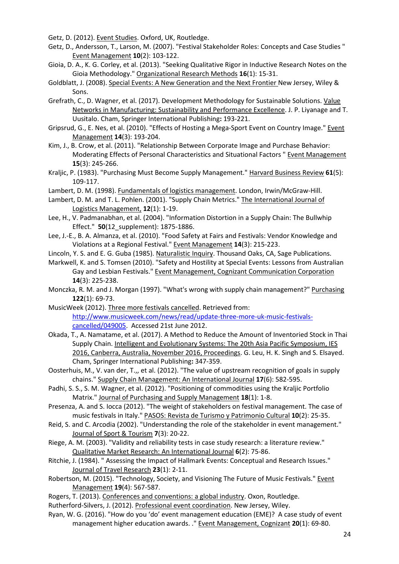Getz, D. (2012). Event Studies. Oxford, UK, Routledge.

- Getz, D., Andersson, T., Larson, M. (2007). "Festival Stakeholder Roles: Concepts and Case Studies " Event Management **10**(2): 103-122.
- Gioia, D. A., K. G. Corley, et al. (2013). "Seeking Qualitative Rigor in Inductive Research Notes on the Gioia Methodology." Organizational Research Methods **16**(1): 15-31.
- Goldblatt, J. (2008). Special Events: A New Generation and the Next Frontier New Jersey, Wiley & Sons.
- Grefrath, C., D. Wagner, et al. (2017). Development Methodology for Sustainable Solutions. Value Networks in Manufacturing: Sustainability and Performance Excellence. J. P. Liyanage and T. Uusitalo. Cham, Springer International Publishing**:** 193-221.
- Gripsrud, G., E. Nes, et al. (2010). "Effects of Hosting a Mega-Sport Event on Country Image." Event Management **14**(3): 193-204.
- Kim, J., B. Crow, et al. (2011). "Relationship Between Corporate Image and Purchase Behavior: Moderating Effects of Personal Characteristics and Situational Factors " Event Management **15**(3): 245-266.
- Kraljic, P. (1983). "Purchasing Must Become Supply Management." Harvard Business Review **61**(5): 109-117.
- Lambert, D. M. (1998). Fundamentals of logistics management. London, Irwin/McGraw-Hill.
- Lambert, D. M. and T. L. Pohlen. (2001). "Supply Chain Metrics." The International Journal of Logistics Management, **12**(1): 1-19.
- Lee, H., V. Padmanabhan, et al. (2004). "Information Distortion in a Supply Chain: The Bullwhip Effect." **50**(12\_supplement): 1875-1886.
- Lee, J.-E., B. A. Almanza, et al. (2010). "Food Safety at Fairs and Festivals: Vendor Knowledge and Violations at a Regional Festival." Event Management **14**(3): 215-223.
- Lincoln, Y. S. and E. G. Guba (1985). Naturalistic Inquiry. Thousand Oaks, CA, Sage Publications.
- Markwell, K. and S. Tomsen (2010). "Safety and Hostility at Special Events: Lessons from Australian Gay and Lesbian Festivals." Event Management, Cognizant Communication Corporation **14**(3): 225-238.
- Monczka, R. M. and J. Morgan (1997). "What's wrong with supply chain management?" Purchasing **122**(1): 69-73.
- MusicWeek (2012). Three more festivals cancelled. Retrieved from: http://www.musicweek.com/news/read/update-three-more-uk-music-festivalscancelled/049005. Accessed 21st June 2012.
- Okada, T., A. Namatame, et al. (2017). A Method to Reduce the Amount of Inventoried Stock in Thai Supply Chain. Intelligent and Evolutionary Systems: The 20th Asia Pacific Symposium, IES 2016, Canberra, Australia, November 2016, Proceedings. G. Leu, H. K. Singh and S. Elsayed. Cham, Springer International Publishing**:** 347-359.
- Oosterhuis, M., V. van der, T.,, et al. (2012). "The value of upstream recognition of goals in supply chains." Supply Chain Management: An International Journal **17**(6): 582-595.
- Padhi, S. S., S. M. Wagner, et al. (2012). "Positioning of commodities using the Kraljic Portfolio Matrix." Journal of Purchasing and Supply Management **18**(1): 1-8.
- Presenza, A. and S. Iocca (2012). "The weight of stakeholders on festival management. The case of music festivals in Italy." PASOS: Revista de Turismo y Patrimonio Cultural **10**(2): 25-35.
- Reid, S. and C. Arcodia (2002). "Understanding the role of the stakeholder in event management." Journal of Sport & Tourism **7**(3): 20-22.
- Riege, A. M. (2003). "Validity and reliability tests in case study research: a literature review." Qualitative Market Research: An International Journal **6**(2): 75-86.
- Ritchie, J. (1984). " Assessing the Impact of Hallmark Events: Conceptual and Research Issues." Journal of Travel Research **23**(1): 2-11.
- Robertson, M. (2015). "Technology, Society, and Visioning The Future of Music Festivals." Event Management **19**(4): 567-587.
- Rogers, T. (2013). Conferences and conventions: a global industry. Oxon, Routledge.
- Rutherford-Silvers, J. (2012). Professional event coordination. New Jersey, Wiley.
- Ryan, W. G. (2016). "How do you 'do' event management education (EME)? A case study of event management higher education awards. ." Event Management, Cognizant **20**(1): 69-80.